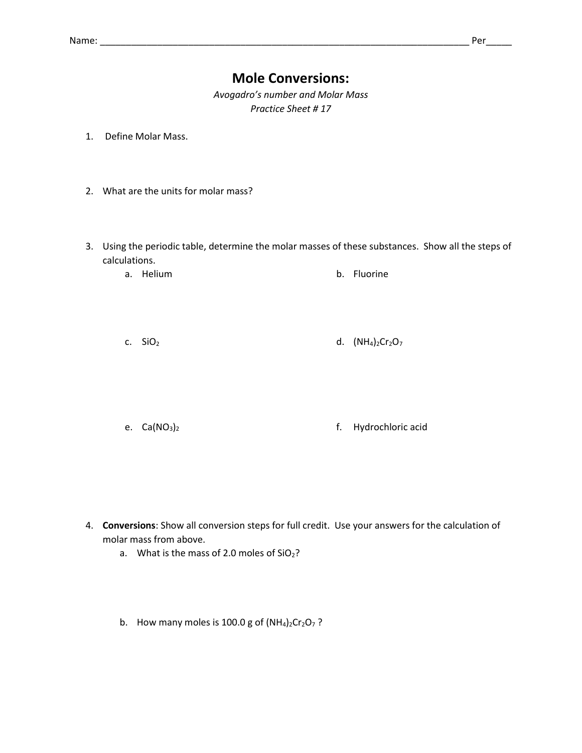## **Mole Conversions:**

*Avogadro's number and Molar Mass Practice Sheet # 17*

- 1. Define Molar Mass.
- 2. What are the units for molar mass?
- 3. Using the periodic table, determine the molar masses of these substances. Show all the steps of calculations.
	- a. Helium b. Fluorine
	- c.  $SiO_2$  d.  $(NH_4)_2Cr_2O_7$
	- e. Ca(NO3)<sup>2</sup> f. Hydrochloric acid

- 4. **Conversions**: Show all conversion steps for full credit. Use your answers for the calculation of molar mass from above.
	- a. What is the mass of 2.0 moles of  $SiO<sub>2</sub>$ ?
	- b. How many moles is 100.0 g of  $(NH<sub>4</sub>)<sub>2</sub>Cr<sub>2</sub>O<sub>7</sub>$ ?